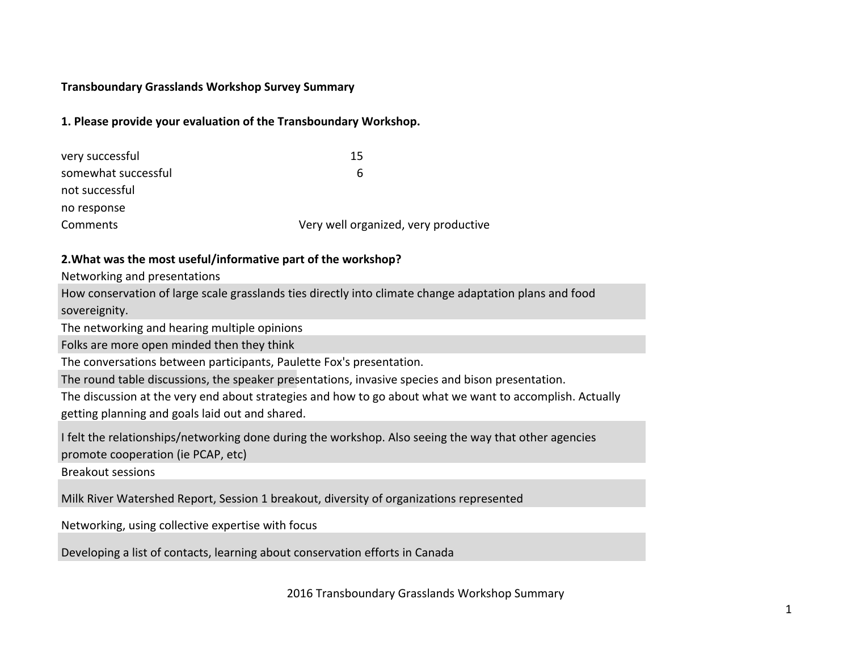# **1. Please provide your evaluation of the Transboundary Workshop.**

| very successful     | 15                                   |
|---------------------|--------------------------------------|
| somewhat successful | 6                                    |
| not successful      |                                      |
| no response         |                                      |
| Comments            | Very well organized, very productive |

### **2. What was the most useful/informative part of the workshop?**

Networking and presentations

How conservation of large scale grasslands ties directly into climate change adaptation plans and food sovereignity.

The networking and hearing multiple opinions

Folks are more open minded then they think

The conversations between participants, Paulette Fox's presentation.

The round table discussions, the speaker presentations, invasive species and bison presentation.

The discussion at the very end about strategies and how to go about what we want to accomplish. Actually getting planning and goals laid out and shared.

I felt the relationships/networking done during the workshop. Also seeing the way that other agencies promote cooperation (ie PCAP, etc)

Breakout sessions

Milk River Watershed Report, Session 1 breakout, diversity of organizations represented

Networking, using collective expertise with focus

Developing a list of contacts, learning about conservation efforts in Canada

2016 Transboundary Grasslands Workshop Summary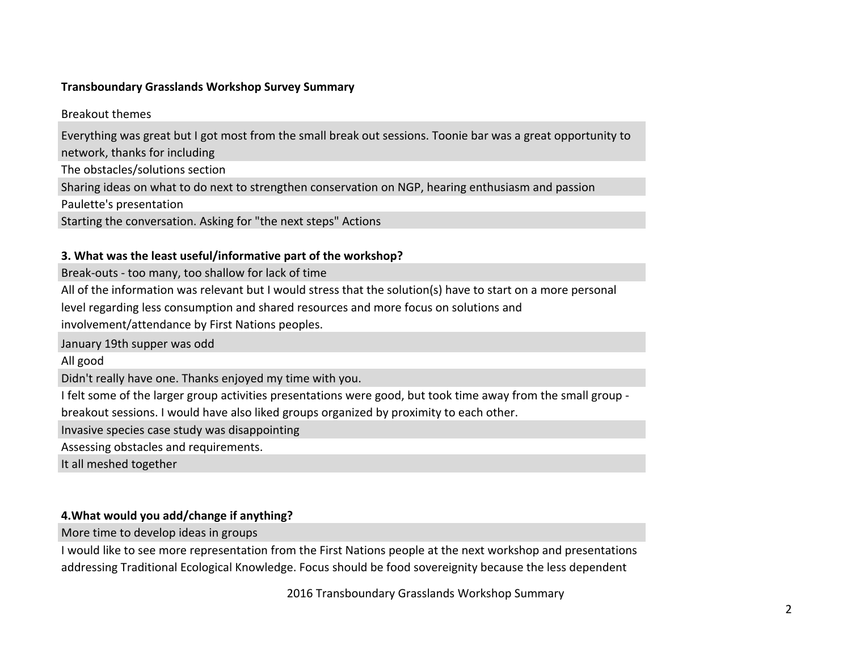**Breakout themes** 

Everything was great but I got most from the small break out sessions. Toonie bar was a great opportunity to network, thanks for including

The obstacles/solutions section

Sharing ideas on what to do next to strengthen conservation on NGP, hearing enthusiasm and passion

Paulette's presentation

Starting the conversation. Asking for "the next steps" Actions

# **3. What was the least useful/informative part of the workshop?**

Break-outs - too many, too shallow for lack of time

All of the information was relevant but I would stress that the solution(s) have to start on a more personal

level regarding less consumption and shared resources and more focus on solutions and

involvement/attendance by First Nations peoples.

January 19th supper was odd

All good

Didn't really have one. Thanks enjoyed my time with you.

I felt some of the larger group activities presentations were good, but took time away from the small group -

breakout sessions. I would have also liked groups organized by proximity to each other.

Invasive species case study was disappointing

Assessing obstacles and requirements.

It all meshed together

# **4. What would you add/change if anything?**

More time to develop ideas in groups

I would like to see more representation from the First Nations people at the next workshop and presentations addressing Traditional Ecological Knowledge. Focus should be food sovereignity because the less dependent

2016 Transboundary Grasslands Workshop Summary  $\frac{2046 \pm \pi}{2046 \pm \pi}$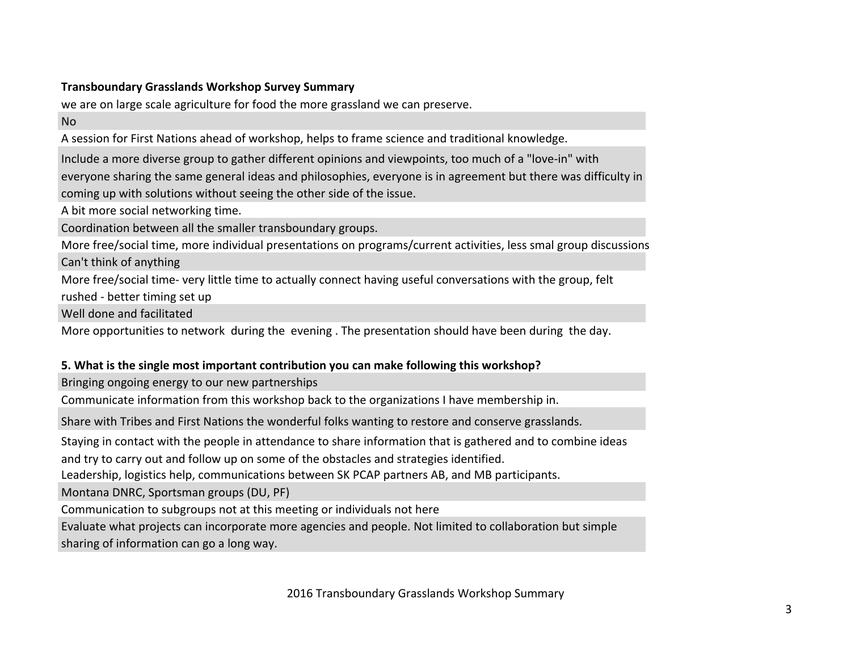# **Transboundary Grasslands Workshop Survey Summary Example 2008**

we are on large scale agriculture for food the more grassland we can preserve.

No

A session for First Nations ahead of workshop, helps to frame science and traditional knowledge.

Include a more diverse group to gather different opinions and viewpoints, too much of a "love-in" with everyone sharing the same general ideas and philosophies, everyone is in agreement but there was difficulty in coming up with solutions without seeing the other side of the issue.

A bit more social networking time.

Coordination between all the smaller transboundary groups.

More free/social time, more individual presentations on programs/current activities, less smal group discussions Can't think of anything

More free/social time- very little time to actually connect having useful conversations with the group, felt rushed - better timing set up

Well done and facilitated

More opportunities to network during the evening. The presentation should have been during the day.

# **5.** What is the single most important contribution you can make following this workshop?

Bringing ongoing energy to our new partnerships

Communicate information from this workshop back to the organizations I have membership in.

Share with Tribes and First Nations the wonderful folks wanting to restore and conserve grasslands.

Staying in contact with the people in attendance to share information that is gathered and to combine ideas

and try to carry out and follow up on some of the obstacles and strategies identified.

Leadership, logistics help, communications between SK PCAP partners AB, and MB participants.

Montana DNRC, Sportsman groups (DU, PF)

Communication to subgroups not at this meeting or individuals not here

Evaluate what projects can incorporate more agencies and people. Not limited to collaboration but simple sharing of information can go a long way.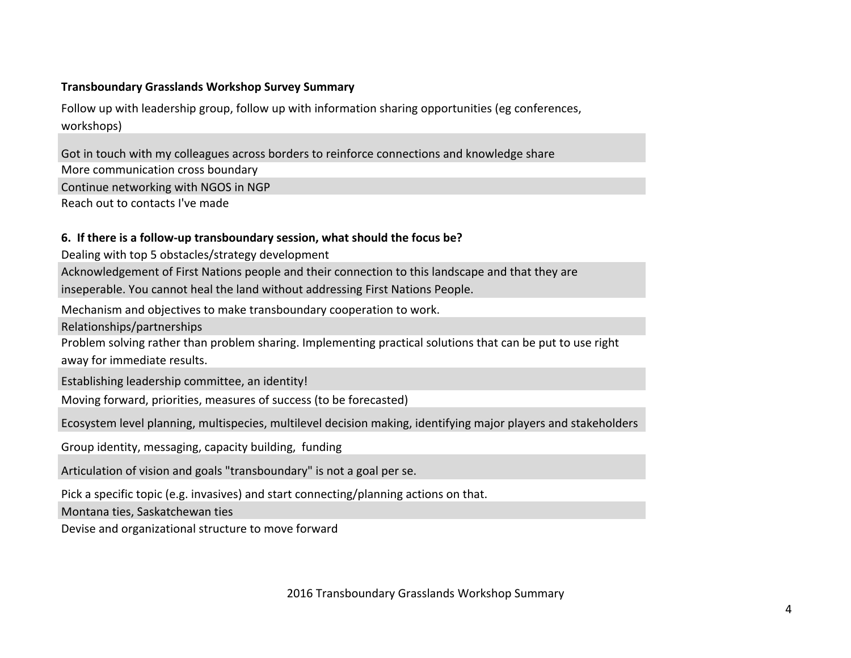Follow up with leadership group, follow up with information sharing opportunities (eg conferences, workshops)

More communication cross boundary Got in touch with my colleagues across borders to reinforce connections and knowledge share Continue networking with NGOS in NGP

Reach out to contacts I've made

#### **6.** If there is a follow-up transboundary session, what should the focus be?

Dealing with top 5 obstacles/strategy development

Acknowledgement of First Nations people and their connection to this landscape and that they are inseperable. You cannot heal the land without addressing First Nations People.

Mechanism and objectives to make transboundary cooperation to work.

Relationships/partnerships

Problem solving rather than problem sharing. Implementing practical solutions that can be put to use right away for immediate results.

Establishing leadership committee, an identity!

Moving forward, priorities, measures of success (to be forecasted)

Ecosystem level planning, multispecies, multilevel decision making, identifying major players and stakeholders

Group identity, messaging, capacity building, funding

Articulation of vision and goals "transboundary" is not a goal per se.

Pick a specific topic (e.g. invasives) and start connecting/planning actions on that.

Montana ties, Saskatchewan ties

Devise and organizational structure to move forward